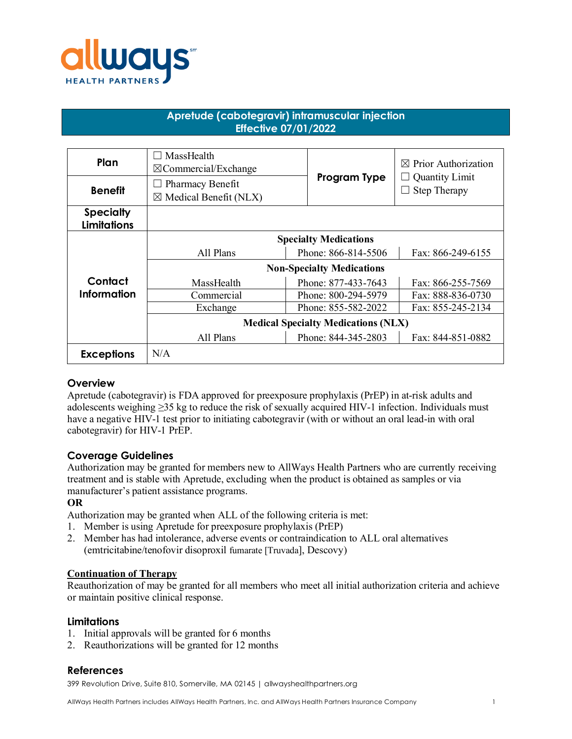

# **Apretude (cabotegravir) intramuscular injection Effective 07/01/2022**

| Plan                                   | $\Box$ MassHealth<br>$\boxtimes$ Commercial/Exchange         |                                          |                                          | $\boxtimes$ Prior Authorization              |  |
|----------------------------------------|--------------------------------------------------------------|------------------------------------------|------------------------------------------|----------------------------------------------|--|
| <b>Benefit</b>                         | $\Box$ Pharmacy Benefit<br>$\boxtimes$ Medical Benefit (NLX) |                                          | Program Type                             | <b>Quantity Limit</b><br><b>Step Therapy</b> |  |
| <b>Specialty</b><br><b>Limitations</b> |                                                              |                                          |                                          |                                              |  |
|                                        | <b>Specialty Medications</b>                                 |                                          |                                          |                                              |  |
|                                        | All Plans                                                    |                                          | Phone: 866-814-5506<br>Fax: 866-249-6155 |                                              |  |
|                                        | <b>Non-Specialty Medications</b>                             |                                          |                                          |                                              |  |
| Contact                                | MassHealth                                                   | Phone: 877-433-7643<br>Fax: 866-255-7569 |                                          |                                              |  |
| Information                            | Commercial                                                   |                                          | Phone: 800-294-5979<br>Fax: 888-836-0730 |                                              |  |
|                                        | Exchange                                                     |                                          | Phone: 855-582-2022                      | Fax: 855-245-2134                            |  |
|                                        | <b>Medical Specialty Medications (NLX)</b>                   |                                          |                                          |                                              |  |
|                                        | All Plans                                                    |                                          | Phone: 844-345-2803                      | Fax: 844-851-0882                            |  |
| <b>Exceptions</b>                      | N/A                                                          |                                          |                                          |                                              |  |

### **Overview**

Apretude (cabotegravir) is FDA approved for preexposure prophylaxis (PrEP) in at-risk adults and adolescents weighing ≥35 kg to reduce the risk of sexually acquired HIV-1 infection. Individuals must have a negative HIV-1 test prior to initiating cabotegravir (with or without an oral lead-in with oral cabotegravir) for HIV-1 PrEP.

## **Coverage Guidelines**

Authorization may be granted for members new to AllWays Health Partners who are currently receiving treatment and is stable with Apretude, excluding when the product is obtained as samples or via manufacturer's patient assistance programs.

### **OR**

Authorization may be granted when ALL of the following criteria is met:

- 1. Member is using Apretude for preexposure prophylaxis (PrEP)
- 2. Member has had intolerance, adverse events or contraindication to ALL oral alternatives (emtricitabine/tenofovir disoproxil fumarate [Truvada], Descovy)

### **Continuation of Therapy**

Reauthorization of may be granted for all members who meet all initial authorization criteria and achieve or maintain positive clinical response.

### **Limitations**

- 1. Initial approvals will be granted for 6 months
- 2. Reauthorizations will be granted for 12 months

### **References**

399 Revolution Drive, Suite 810, Somerville, MA 02145 | allwayshealthpartners.org